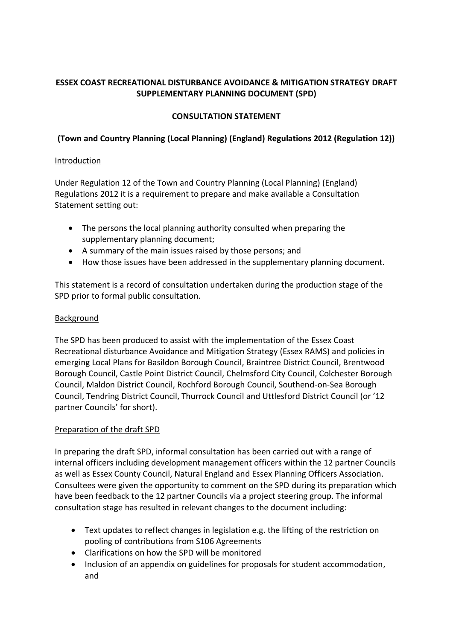# **ESSEX COAST RECREATIONAL DISTURBANCE AVOIDANCE & MITIGATION STRATEGY DRAFT SUPPLEMENTARY PLANNING DOCUMENT (SPD)**

## **CONSULTATION STATEMENT**

# **(Town and Country Planning (Local Planning) (England) Regulations 2012 (Regulation 12))**

### **Introduction**

Under Regulation 12 of the Town and Country Planning (Local Planning) (England) Regulations 2012 it is a requirement to prepare and make available a Consultation Statement setting out:

- The persons the local planning authority consulted when preparing the supplementary planning document;
- A summary of the main issues raised by those persons; and
- How those issues have been addressed in the supplementary planning document.

This statement is a record of consultation undertaken during the production stage of the SPD prior to formal public consultation.

### Background

The SPD has been produced to assist with the implementation of the Essex Coast Recreational disturbance Avoidance and Mitigation Strategy (Essex RAMS) and policies in emerging Local Plans for Basildon Borough Council, Braintree District Council, Brentwood Borough Council, Castle Point District Council, Chelmsford City Council, Colchester Borough Council, Maldon District Council, Rochford Borough Council, Southend-on-Sea Borough Council, Tendring District Council, Thurrock Council and Uttlesford District Council (or '12 partner Councils' for short).

## Preparation of the draft SPD

In preparing the draft SPD, informal consultation has been carried out with a range of internal officers including development management officers within the 12 partner Councils as well as Essex County Council, Natural England and Essex Planning Officers Association. Consultees were given the opportunity to comment on the SPD during its preparation which have been feedback to the 12 partner Councils via a project steering group. The informal consultation stage has resulted in relevant changes to the document including:

- Text updates to reflect changes in legislation e.g. the lifting of the restriction on pooling of contributions from S106 Agreements
- Clarifications on how the SPD will be monitored
- Inclusion of an appendix on guidelines for proposals for student accommodation, and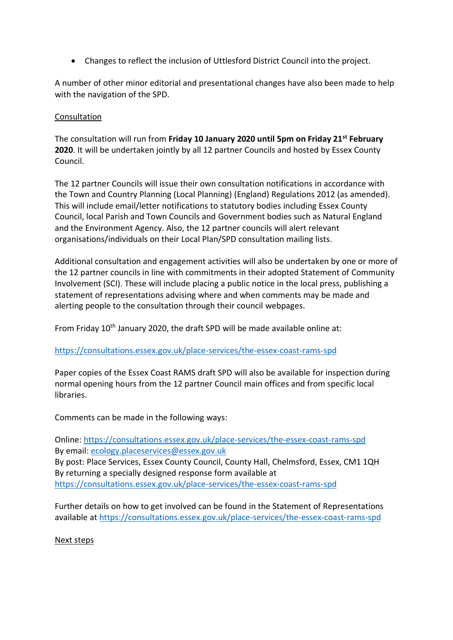• Changes to reflect the inclusion of Uttlesford District Council into the project.

A number of other minor editorial and presentational changes have also been made to help with the navigation of the SPD.

#### Consultation

The consultation will run from **Friday 10 January 2020 until 5pm on Friday 21st February 2020**. It will be undertaken jointly by all 12 partner Councils and hosted by Essex County Council.

The 12 partner Councils will issue their own consultation notifications in accordance with the Town and Country Planning (Local Planning) (England) Regulations 2012 (as amended). This will include email/letter notifications to statutory bodies including Essex County Council, local Parish and Town Councils and Government bodies such as Natural England and the Environment Agency. Also, the 12 partner councils will alert relevant organisations/individuals on their Local Plan/SPD consultation mailing lists.

Additional consultation and engagement activities will also be undertaken by one or more of the 12 partner councils in line with commitments in their adopted Statement of Community Involvement (SCI). These will include placing a public notice in the local press, publishing a statement of representations advising where and when comments may be made and alerting people to the consultation through their council webpages.

From Friday 10<sup>th</sup> January 2020, the draft SPD will be made available online at:

#### <https://consultations.essex.gov.uk/place-services/the-essex-coast-rams-spd>

Paper copies of the Essex Coast RAMS draft SPD will also be available for inspection during normal opening hours from the 12 partner Council main offices and from specific local libraries.

Comments can be made in the following ways:

Online:<https://consultations.essex.gov.uk/place-services/the-essex-coast-rams-spd> By email: [ecology.placeservices@essex.gov.uk](mailto:ecology.placeservices@essex.gov.uk) By post: Place Services, Essex County Council, County Hall, Chelmsford, Essex, CM1 1QH By returning a specially designed response form available at <https://consultations.essex.gov.uk/place-services/the-essex-coast-rams-spd>

Further details on how to get involved can be found in the Statement of Representations available at<https://consultations.essex.gov.uk/place-services/the-essex-coast-rams-spd>

#### Next steps